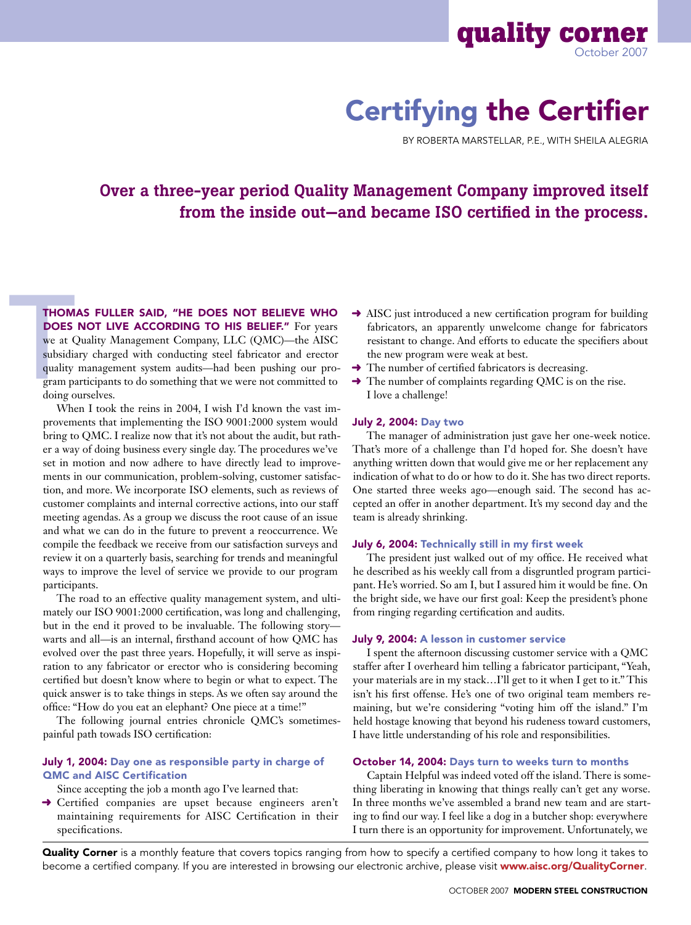

# Certifying the Certifier

By Roberta Marstellar, P.E., with Sheila Alegria

# Over a three-year period Quality Management Company improved itself from the inside out—and became ISO certified in the process.

**THOM**<br> **DOES**<br>
we at (<br>
subsidia<br>
quality<br>
gram pa<br>
doing o Thomas Fuller said, "He does not believe who DOES NOT LIVE ACCORDING TO HIS BELIEF." For years we at Quality Management Company, LLC (QMC)—the AISC subsidiary charged with conducting steel fabricator and erector quality management system audits—had been pushing our program participants to do something that we were not committed to doing ourselves.

When I took the reins in 2004, I wish I'd known the vast improvements that implementing the ISO 9001:2000 system would bring to QMC. I realize now that it's not about the audit, but rather a way of doing business every single day. The procedures we've set in motion and now adhere to have directly lead to improvements in our communication, problem-solving, customer satisfaction, and more. We incorporate ISO elements, such as reviews of customer complaints and internal corrective actions, into our staff meeting agendas. As a group we discuss the root cause of an issue and what we can do in the future to prevent a reoccurrence. We compile the feedback we receive from our satisfaction surveys and review it on a quarterly basis, searching for trends and meaningful ways to improve the level of service we provide to our program participants.

The road to an effective quality management system, and ultimately our ISO 9001:2000 certification, was long and challenging, but in the end it proved to be invaluable. The following story warts and all—is an internal, firsthand account of how QMC has evolved over the past three years. Hopefully, it will serve as inspiration to any fabricator or erector who is considering becoming certified but doesn't know where to begin or what to expect. The quick answer is to take things in steps. As we often say around the office: "How do you eat an elephant? One piece at a time!"

The following journal entries chronicle QMC's sometimespainful path towads ISO certification:

#### July 1, 2004: Day one as responsible party in charge of QMC and AISC Certification

- Since accepting the job a month ago I've learned that:
- ➜ Certified companies are upset because engineers aren't maintaining requirements for AISC Certification in their specifications.
- **→** AISC just introduced a new certification program for building fabricators, an apparently unwelcome change for fabricators resistant to change. And efforts to educate the specifiers about the new program were weak at best.
- $\rightarrow$  The number of certified fabricators is decreasing.
- $\rightarrow$  The number of complaints regarding QMC is on the rise. I love a challenge!

#### July 2, 2004: Day two

The manager of administration just gave her one-week notice. That's more of a challenge than I'd hoped for. She doesn't have anything written down that would give me or her replacement any indication of what to do or how to do it. She has two direct reports. One started three weeks ago—enough said. The second has accepted an offer in another department. It's my second day and the team is already shrinking.

#### July 6, 2004: Technically still in my first week

The president just walked out of my office. He received what he described as his weekly call from a disgruntled program participant. He's worried. So am I, but I assured him it would be fine. On the bright side, we have our first goal: Keep the president's phone from ringing regarding certification and audits.

#### July 9, 2004: A lesson in customer service

I spent the afternoon discussing customer service with a QMC staffer after I overheard him telling a fabricator participant, "Yeah, your materials are in my stack…I'll get to it when I get to it." This isn't his first offense. He's one of two original team members remaining, but we're considering "voting him off the island." I'm held hostage knowing that beyond his rudeness toward customers, I have little understanding of his role and responsibilities.

#### October 14, 2004: Days turn to weeks turn to months

Captain Helpful was indeed voted off the island. There is something liberating in knowing that things really can't get any worse. In three months we've assembled a brand new team and are starting to find our way. I feel like a dog in a butcher shop: everywhere I turn there is an opportunity for improvement. Unfortunately, we

Quality Corner is a monthly feature that covers topics ranging from how to specify a certified company to how long it takes to become a certified company. If you are interested in browsing our electronic archive, please visit www.aisc.org/QualityCorner.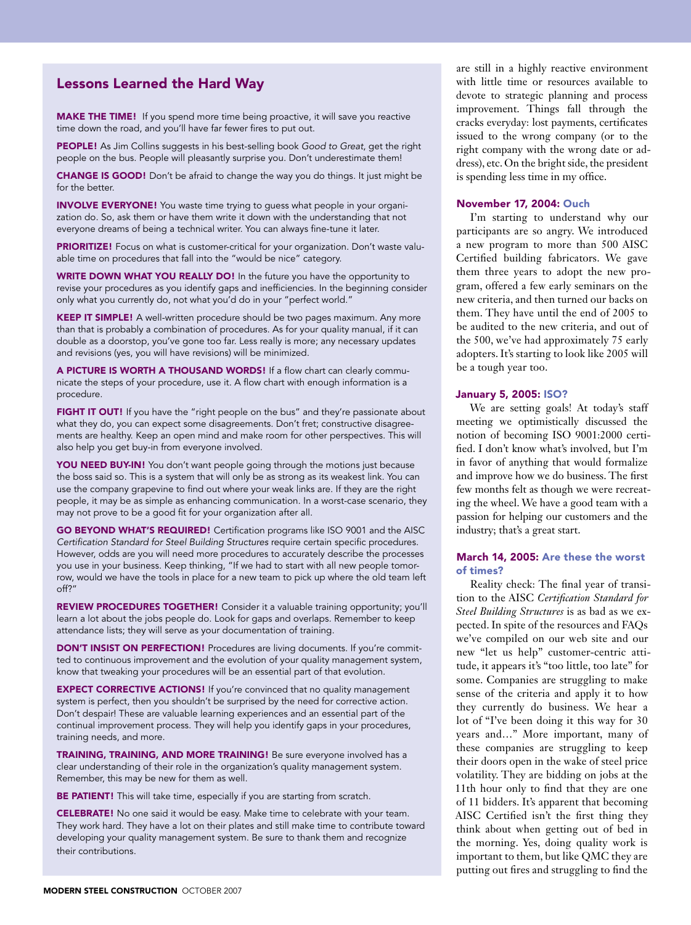# Lessons Learned the Hard Way

**MAKE THE TIME!** If you spend more time being proactive, it will save you reactive time down the road, and you'll have far fewer fires to put out.

PEOPLE! As Jim Collins suggests in his best-selling book *Good to Great*, get the right people on the bus. People will pleasantly surprise you. Don't underestimate them!

**CHANGE IS GOOD!** Don't be afraid to change the way you do things. It just might be for the better.

INVOLVE EVERYONE! You waste time trying to guess what people in your organization do. So, ask them or have them write it down with the understanding that not everyone dreams of being a technical writer. You can always fine-tune it later.

PRIORITIZE! Focus on what is customer-critical for your organization. Don't waste valuable time on procedures that fall into the "would be nice" category.

WRITE DOWN WHAT YOU REALLY DO! In the future you have the opportunity to revise your procedures as you identify gaps and inefficiencies. In the beginning consider only what you currently do, not what you'd do in your "perfect world."

KEEP IT SIMPLE! A well-written procedure should be two pages maximum. Any more than that is probably a combination of procedures. As for your quality manual, if it can double as a doorstop, you've gone too far. Less really is more; any necessary updates and revisions (yes, you will have revisions) will be minimized.

A PICTURE IS WORTH A THOUSAND WORDS! If a flow chart can clearly communicate the steps of your procedure, use it. A flow chart with enough information is a procedure.

FIGHT IT OUT! If you have the "right people on the bus" and they're passionate about what they do, you can expect some disagreements. Don't fret; constructive disagreements are healthy. Keep an open mind and make room for other perspectives. This will also help you get buy-in from everyone involved.

YOU NEED BUY-IN! You don't want people going through the motions just because the boss said so. This is a system that will only be as strong as its weakest link. You can use the company grapevine to find out where your weak links are. If they are the right people, it may be as simple as enhancing communication. In a worst-case scenario, they may not prove to be a good fit for your organization after all.

GO BEYOND WHAT'S REQUIRED! Certification programs like ISO 9001 and the AISC *Certification Standard for Steel Building Structures* require certain specific procedures. However, odds are you will need more procedures to accurately describe the processes you use in your business. Keep thinking, "If we had to start with all new people tomorrow, would we have the tools in place for a new team to pick up where the old team left off?"

REVIEW PROCEDURES TOGETHER! Consider it a valuable training opportunity; you'll learn a lot about the jobs people do. Look for gaps and overlaps. Remember to keep attendance lists; they will serve as your documentation of training.

DON'T INSIST ON PERFECTION! Procedures are living documents. If you're committed to continuous improvement and the evolution of your quality management system, know that tweaking your procedures will be an essential part of that evolution.

**EXPECT CORRECTIVE ACTIONS!** If you're convinced that no quality management system is perfect, then you shouldn't be surprised by the need for corrective action. Don't despair! These are valuable learning experiences and an essential part of the continual improvement process. They will help you identify gaps in your procedures, training needs, and more.

TRAINING, TRAINING, AND MORE TRAINING! Be sure everyone involved has a clear understanding of their role in the organization's quality management system. Remember, this may be new for them as well.

BE PATIENT! This will take time, especially if you are starting from scratch.

**CELEBRATE!** No one said it would be easy. Make time to celebrate with your team. They work hard. They have a lot on their plates and still make time to contribute toward developing your quality management system. Be sure to thank them and recognize their contributions.

are still in a highly reactive environment with little time or resources available to devote to strategic planning and process improvement. Things fall through the cracks everyday: lost payments, certificates issued to the wrong company (or to the right company with the wrong date or address), etc. On the bright side, the president is spending less time in my office.

#### November 17, 2004: Ouch

I'm starting to understand why our participants are so angry. We introduced a new program to more than 500 AISC Certified building fabricators. We gave them three years to adopt the new program, offered a few early seminars on the new criteria, and then turned our backs on them. They have until the end of 2005 to be audited to the new criteria, and out of the 500, we've had approximately 75 early adopters. It's starting to look like 2005 will be a tough year too.

#### January 5, 2005: ISO?

We are setting goals! At today's staff meeting we optimistically discussed the notion of becoming ISO 9001:2000 certified. I don't know what's involved, but I'm in favor of anything that would formalize and improve how we do business. The first few months felt as though we were recreating the wheel. We have a good team with a passion for helping our customers and the industry; that's a great start.

#### March 14, 2005: Are these the worst of times?

Reality check: The final year of transition to the AISC *Certification Standard for Steel Building Structures* is as bad as we expected. In spite of the resources and FAQs we've compiled on our web site and our new "let us help" customer-centric attitude, it appears it's "too little, too late" for some. Companies are struggling to make sense of the criteria and apply it to how they currently do business. We hear a lot of "I've been doing it this way for 30 years and…" More important, many of these companies are struggling to keep their doors open in the wake of steel price volatility. They are bidding on jobs at the 11th hour only to find that they are one of 11 bidders. It's apparent that becoming AISC Certified isn't the first thing they think about when getting out of bed in the morning. Yes, doing quality work is important to them, but like QMC they are putting out fires and struggling to find the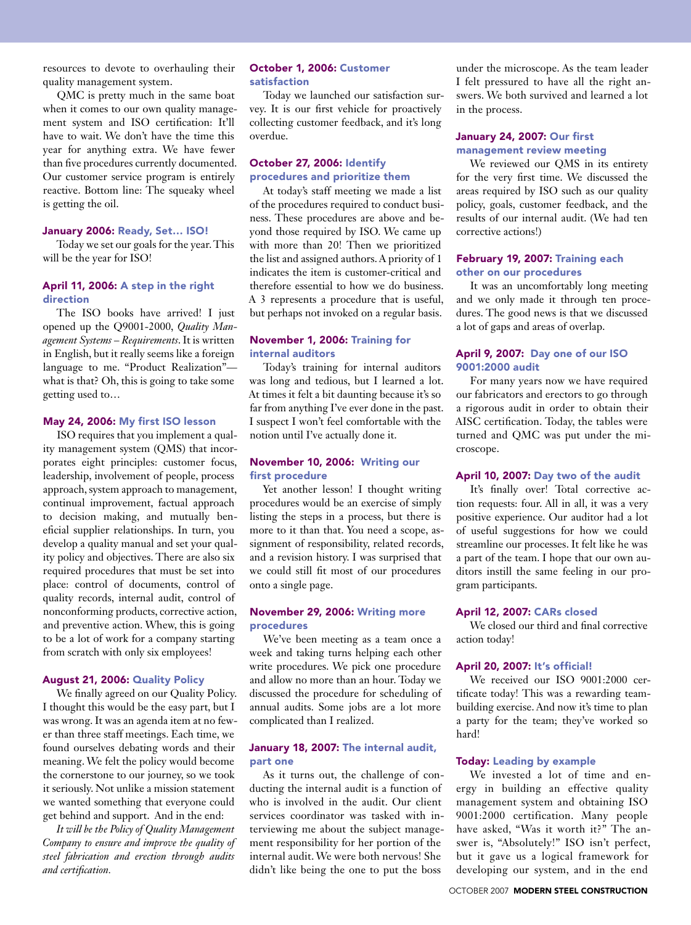resources to devote to overhauling their quality management system.

QMC is pretty much in the same boat when it comes to our own quality management system and ISO certification: It'll have to wait. We don't have the time this year for anything extra. We have fewer than five procedures currently documented. Our customer service program is entirely reactive. Bottom line: The squeaky wheel is getting the oil.

#### January 2006: Ready, Set… ISO!

Today we set our goals for the year. This will be the year for ISO!

# April 11, 2006: A step in the right direction

The ISO books have arrived! I just opened up the Q9001-2000, *Quality Management Systems – Requirements*. It is written in English, but it really seems like a foreign language to me. "Product Realization" what is that? Oh, this is going to take some getting used to…

#### May 24, 2006: My first ISO lesson

ISO requires that you implement a quality management system (QMS) that incorporates eight principles: customer focus, leadership, involvement of people, process approach, system approach to management, continual improvement, factual approach to decision making, and mutually beneficial supplier relationships. In turn, you develop a quality manual and set your quality policy and objectives. There are also six required procedures that must be set into place: control of documents, control of quality records, internal audit, control of nonconforming products, corrective action, and preventive action. Whew, this is going to be a lot of work for a company starting from scratch with only six employees!

#### August 21, 2006: Quality Policy

We finally agreed on our Quality Policy. I thought this would be the easy part, but I was wrong. It was an agenda item at no fewer than three staff meetings. Each time, we found ourselves debating words and their meaning. We felt the policy would become the cornerstone to our journey, so we took it seriously. Not unlike a mission statement we wanted something that everyone could get behind and support. And in the end:

*It will be the Policy of Quality Management Company to ensure and improve the quality of steel fabrication and erection through audits and certification.*

#### October 1, 2006: Customer satisfaction

Today we launched our satisfaction survey. It is our first vehicle for proactively collecting customer feedback, and it's long overdue.

# October 27, 2006: Identify procedures and prioritize them

At today's staff meeting we made a list of the procedures required to conduct business. These procedures are above and beyond those required by ISO. We came up with more than 20! Then we prioritized the list and assigned authors. A priority of 1 indicates the item is customer-critical and therefore essential to how we do business. A 3 represents a procedure that is useful, but perhaps not invoked on a regular basis.

# November 1, 2006: Training for internal auditors

Today's training for internal auditors was long and tedious, but I learned a lot. At times it felt a bit daunting because it's so far from anything I've ever done in the past. I suspect I won't feel comfortable with the notion until I've actually done it.

# November 10, 2006: Writing our first procedure

Yet another lesson! I thought writing procedures would be an exercise of simply listing the steps in a process, but there is more to it than that. You need a scope, assignment of responsibility, related records, and a revision history. I was surprised that we could still fit most of our procedures onto a single page.

# November 29, 2006: Writing more procedures

We've been meeting as a team once a week and taking turns helping each other write procedures. We pick one procedure and allow no more than an hour. Today we discussed the procedure for scheduling of annual audits. Some jobs are a lot more complicated than I realized.

## January 18, 2007: The internal audit, part one

As it turns out, the challenge of conducting the internal audit is a function of who is involved in the audit. Our client services coordinator was tasked with interviewing me about the subject management responsibility for her portion of the internal audit. We were both nervous! She didn't like being the one to put the boss

under the microscope. As the team leader I felt pressured to have all the right answers. We both survived and learned a lot in the process.

# January 24, 2007: Our first

management review meeting

We reviewed our QMS in its entirety for the very first time. We discussed the areas required by ISO such as our quality policy, goals, customer feedback, and the results of our internal audit. (We had ten corrective actions!)

#### February 19, 2007: Training each other on our procedures

It was an uncomfortably long meeting and we only made it through ten procedures. The good news is that we discussed a lot of gaps and areas of overlap.

# April 9, 2007: Day one of our ISO 9001:2000 audit

For many years now we have required our fabricators and erectors to go through a rigorous audit in order to obtain their AISC certification. Today, the tables were turned and QMC was put under the microscope.

## April 10, 2007: Day two of the audit

It's finally over! Total corrective action requests: four. All in all, it was a very positive experience. Our auditor had a lot of useful suggestions for how we could streamline our processes. It felt like he was a part of the team. I hope that our own auditors instill the same feeling in our program participants.

# April 12, 2007: CARs closed

We closed our third and final corrective action today!

#### April 20, 2007: It's official!

We received our ISO 9001:2000 certificate today! This was a rewarding teambuilding exercise. And now it's time to plan a party for the team; they've worked so hard!

#### Today: Leading by example

We invested a lot of time and energy in building an effective quality management system and obtaining ISO 9001:2000 certification. Many people have asked, "Was it worth it?" The answer is, "Absolutely!" ISO isn't perfect, but it gave us a logical framework for developing our system, and in the end